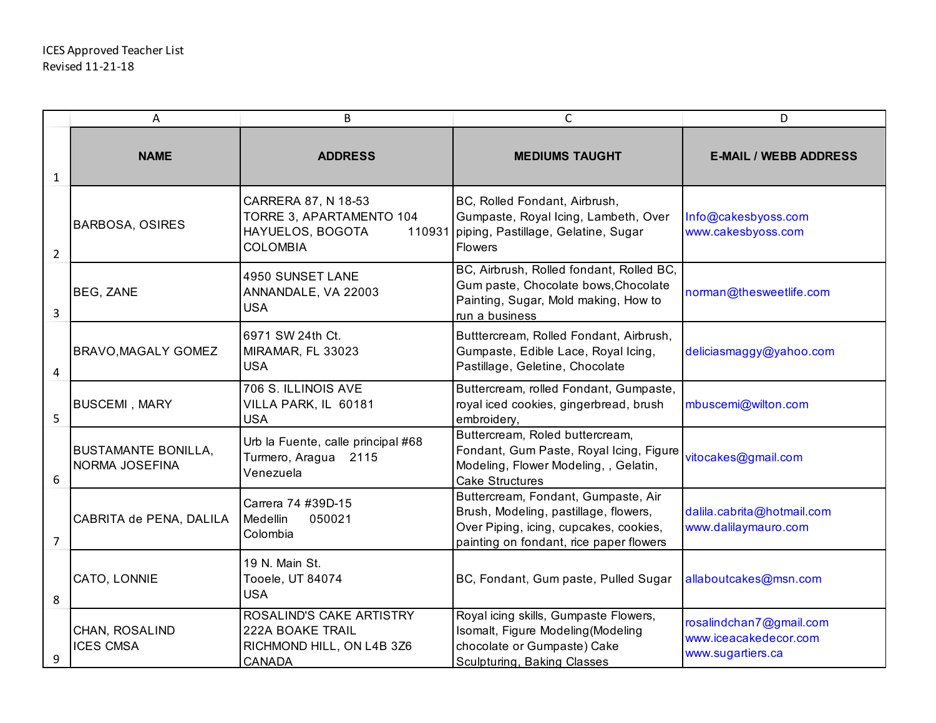|                | Α                                            | B                                                                                                | $\mathsf{C}$                                                                                                                                                      | D                                                                     |
|----------------|----------------------------------------------|--------------------------------------------------------------------------------------------------|-------------------------------------------------------------------------------------------------------------------------------------------------------------------|-----------------------------------------------------------------------|
| $\mathbf 1$    | <b>NAME</b>                                  | <b>ADDRESS</b>                                                                                   | <b>MEDIUMS TAUGHT</b>                                                                                                                                             | <b>E-MAIL / WEBB ADDRESS</b>                                          |
| $\overline{2}$ | <b>BARBOSA, OSIRES</b>                       | CARRERA 87, N 18-53<br>TORRE 3, APARTAMENTO 104<br>HAYUELOS, BOGOTA<br>110931<br><b>COLOMBIA</b> | BC, Rolled Fondant, Airbrush,<br>Gumpaste, Royal Icing, Lambeth, Over<br>piping, Pastillage, Gelatine, Sugar<br><b>Flowers</b>                                    | Info@cakesbyoss.com<br>www.cakesbyoss.com                             |
| 3              | BEG, ZANE                                    | 4950 SUNSET LANE<br>ANNANDALE, VA 22003<br><b>USA</b>                                            | BC, Airbrush, Rolled fondant, Rolled BC,<br>Gum paste, Chocolate bows, Chocolate<br>Painting, Sugar, Mold making, How to<br>run a business                        | norman@thesweetlife.com                                               |
| 4              | <b>BRAVO, MAGALY GOMEZ</b>                   | 6971 SW 24th Ct.<br>MIRAMAR, FL 33023<br><b>USA</b>                                              | Butttercream, Rolled Fondant, Airbrush,<br>Gumpaste, Edible Lace, Royal Icing,<br>Pastillage, Geletine, Chocolate                                                 | deliciasmaggy@yahoo.com                                               |
| 5              | <b>BUSCEMI, MARY</b>                         | 706 S. ILLINOIS AVE<br>VILLA PARK, IL 60181<br><b>USA</b>                                        | Buttercream, rolled Fondant, Gumpaste,<br>royal iced cookies, gingerbread, brush<br>embroidery,                                                                   | mbuscemi@wilton.com                                                   |
| 6              | <b>BUSTAMANTE BONILLA,</b><br>NORMA JOSEFINA | Urb la Fuente, calle principal #68<br>Turmero, Aragua 2115<br>Venezuela                          | Buttercream, Roled buttercream,<br>Fondant, Gum Paste, Royal Icing, Figure<br>Modeling, Flower Modeling, , Gelatin,<br><b>Cake Structures</b>                     | vitocakes@gmail.com                                                   |
| $\overline{7}$ | CABRITA de PENA, DALILA                      | Carrera 74 #39D-15<br>Medellin<br>050021<br>Colombia                                             | Buttercream, Fondant, Gumpaste, Air<br>Brush, Modeling, pastillage, flowers,<br>Over Piping, icing, cupcakes, cookies,<br>painting on fondant, rice paper flowers | dalila.cabrita@hotmail.com<br>www.dalilaymauro.com                    |
| 8              | CATO, LONNIE                                 | 19 N. Main St.<br>Tooele, UT 84074<br><b>USA</b>                                                 | BC, Fondant, Gum paste, Pulled Sugar                                                                                                                              | allaboutcakes@msn.com                                                 |
| 9              | CHAN, ROSALIND<br><b>ICES CMSA</b>           | ROSALIND'S CAKE ARTISTRY<br>222A BOAKE TRAIL<br>RICHMOND HILL, ON L4B 3Z6<br><b>CANADA</b>       | Royal icing skills, Gumpaste Flowers,<br>Isomalt, Figure Modeling (Modeling<br>chocolate or Gumpaste) Cake<br>Sculpturing, Baking Classes                         | rosalindchan7@gmail.com<br>www.iceacakedecor.com<br>www.sugartiers.ca |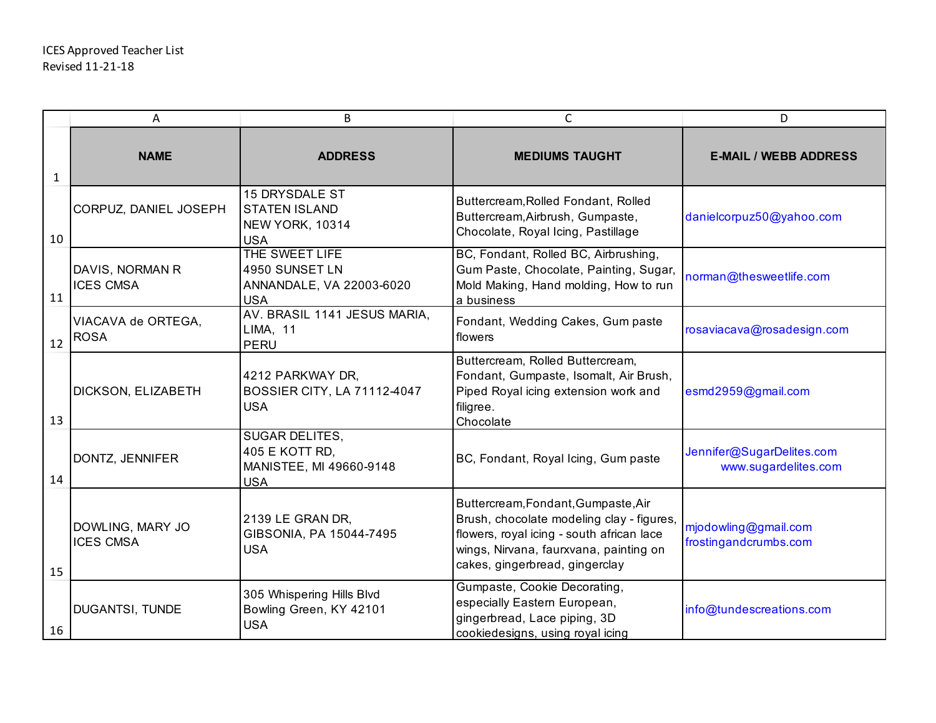|              | A                                    | B                                                                                | $\mathsf{C}$                                                                                                                                                                                              | D                                                 |
|--------------|--------------------------------------|----------------------------------------------------------------------------------|-----------------------------------------------------------------------------------------------------------------------------------------------------------------------------------------------------------|---------------------------------------------------|
| $\mathbf{1}$ | <b>NAME</b>                          | <b>ADDRESS</b>                                                                   | <b>MEDIUMS TAUGHT</b>                                                                                                                                                                                     | <b>E-MAIL / WEBB ADDRESS</b>                      |
| 10           | CORPUZ, DANIEL JOSEPH                | 15 DRYSDALE ST<br><b>STATEN ISLAND</b><br>NEW YORK, 10314<br><b>USA</b>          | Buttercream, Rolled Fondant, Rolled<br>Buttercream, Airbrush, Gumpaste,<br>Chocolate, Royal Icing, Pastillage                                                                                             | danielcorpuz50@yahoo.com                          |
| 11           | DAVIS, NORMAN R<br><b>ICES CMSA</b>  | THE SWEET LIFE<br>4950 SUNSET LN<br>ANNANDALE, VA 22003-6020<br><b>USA</b>       | BC, Fondant, Rolled BC, Airbrushing,<br>Gum Paste, Chocolate, Painting, Sugar,<br>Mold Making, Hand molding, How to run<br>a business                                                                     | norman@thesweetlife.com                           |
| 12           | VIACAVA de ORTEGA,<br><b>ROSA</b>    | AV. BRASIL 1141 JESUS MARIA,<br><b>LIMA, 11</b><br><b>PERU</b>                   | Fondant, Wedding Cakes, Gum paste<br>flowers                                                                                                                                                              | rosaviacava@rosadesign.com                        |
| 13           | DICKSON, ELIZABETH                   | 4212 PARKWAY DR,<br><b>BOSSIER CITY, LA 71112-4047</b><br><b>USA</b>             | Buttercream, Rolled Buttercream,<br>Fondant, Gumpaste, Isomalt, Air Brush,<br>Piped Royal icing extension work and<br>filigree.<br>Chocolate                                                              | esmd2959@gmail.com                                |
| 14           | DONTZ, JENNIFER                      | <b>SUGAR DELITES,</b><br>405 E KOTT RD,<br>MANISTEE, MI 49660-9148<br><b>USA</b> | BC, Fondant, Royal Icing, Gum paste                                                                                                                                                                       | Jennifer@SugarDelites.com<br>www.sugardelites.com |
| 15           | DOWLING, MARY JO<br><b>ICES CMSA</b> | 2139 LE GRAN DR,<br>GIBSONIA, PA 15044-7495<br><b>USA</b>                        | Buttercream, Fondant, Gumpaste, Air<br>Brush, chocolate modeling clay - figures,<br>flowers, royal icing - south african lace<br>wings, Nirvana, faurxvana, painting on<br>cakes, gingerbread, gingerclay | mjodowling@gmail.com<br>frostingandcrumbs.com     |
| 16           | DUGANTSI, TUNDE                      | 305 Whispering Hills Blvd<br>Bowling Green, KY 42101<br><b>USA</b>               | Gumpaste, Cookie Decorating,<br>especially Eastern European,<br>gingerbread, Lace piping, 3D<br>cookiedesigns, using royal icing                                                                          | info@tundescreations.com                          |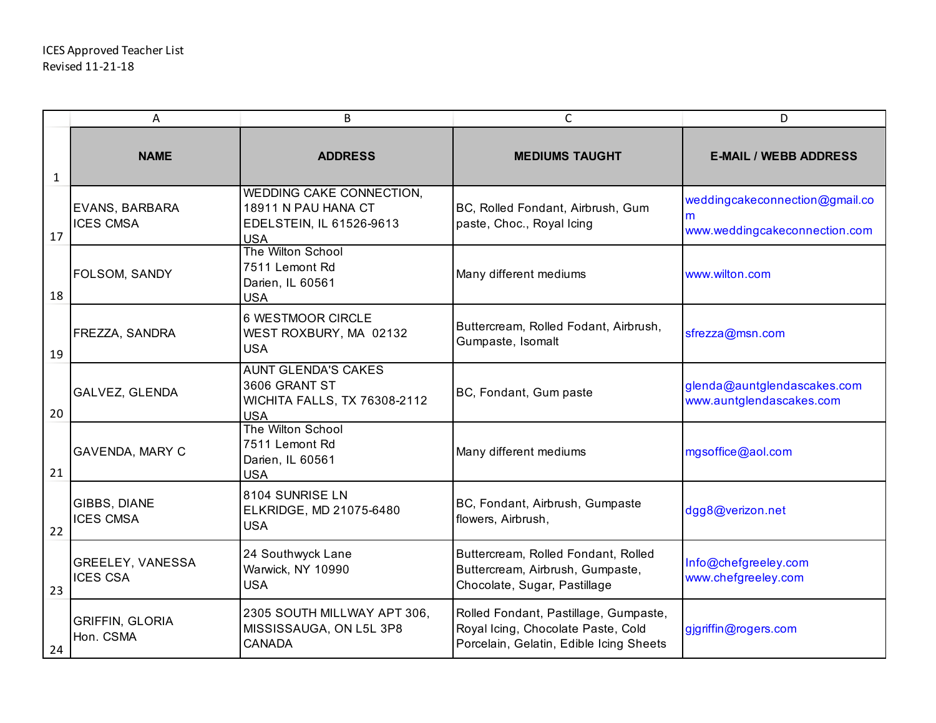|              | Α                                   | B                                                                                                | C                                                                                                                      | D                                                                    |
|--------------|-------------------------------------|--------------------------------------------------------------------------------------------------|------------------------------------------------------------------------------------------------------------------------|----------------------------------------------------------------------|
| $\mathbf{1}$ | <b>NAME</b>                         | <b>ADDRESS</b>                                                                                   | <b>MEDIUMS TAUGHT</b>                                                                                                  | <b>E-MAIL / WEBB ADDRESS</b>                                         |
| 17           | EVANS, BARBARA<br><b>ICES CMSA</b>  | WEDDING CAKE CONNECTION,<br>18911 N PAU HANA CT<br>EDELSTEIN, IL 61526-9613<br><b>USA</b>        | BC, Rolled Fondant, Airbrush, Gum<br>paste, Choc., Royal Icing                                                         | weddingcakeconnection@gmail.co<br>m<br>www.weddingcakeconnection.com |
| 18           | FOLSOM, SANDY                       | The Wilton School<br>7511 Lemont Rd<br>Darien, IL 60561<br><b>USA</b>                            | Many different mediums                                                                                                 | www.wilton.com                                                       |
| 19           | FREZZA, SANDRA                      | 6 WESTMOOR CIRCLE<br>WEST ROXBURY, MA 02132<br><b>USA</b>                                        | Buttercream, Rolled Fodant, Airbrush,<br>Gumpaste, Isomalt                                                             | sfrezza@msn.com                                                      |
| 20           | GALVEZ, GLENDA                      | <b>AUNT GLENDA'S CAKES</b><br>3606 GRANT ST<br><b>WICHITA FALLS, TX 76308-2112</b><br><b>USA</b> | BC, Fondant, Gum paste                                                                                                 | glenda@auntglendascakes.com<br>www.auntglendascakes.com              |
| 21           | GAVENDA, MARY C                     | The Wilton School<br>7511 Lemont Rd<br>Darien, IL 60561<br><b>USA</b>                            | Many different mediums                                                                                                 | mgsoffice@aol.com                                                    |
| 22           | GIBBS, DIANE<br><b>ICES CMSA</b>    | 8104 SUNRISE LN<br>ELKRIDGE, MD 21075-6480<br><b>USA</b>                                         | BC, Fondant, Airbrush, Gumpaste<br>flowers, Airbrush,                                                                  | dgg8@verizon.net                                                     |
| 23           | GREELEY, VANESSA<br><b>ICES CSA</b> | 24 Southwyck Lane<br>Warwick, NY 10990<br><b>USA</b>                                             | Buttercream, Rolled Fondant, Rolled<br>Buttercream, Airbrush, Gumpaste,<br>Chocolate, Sugar, Pastillage                | Info@chefgreeley.com<br>www.chefgreeley.com                          |
| 24           | <b>GRIFFIN, GLORIA</b><br>Hon. CSMA | 2305 SOUTH MILLWAY APT 306,<br>MISSISSAUGA, ON L5L 3P8<br><b>CANADA</b>                          | Rolled Fondant, Pastillage, Gumpaste,<br>Royal Icing, Chocolate Paste, Cold<br>Porcelain, Gelatin, Edible Icing Sheets | gjgriffin@rogers.com                                                 |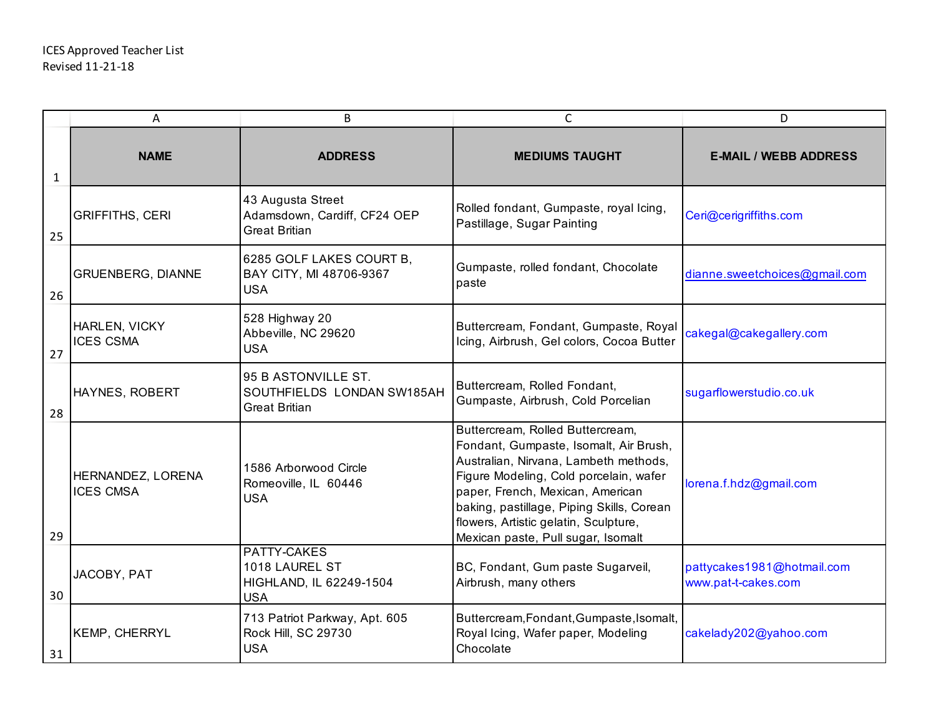|              | A                                     | B                                                                         | $\mathsf{C}$                                                                                                                                                                                                                                                                                                                  | D                                                 |
|--------------|---------------------------------------|---------------------------------------------------------------------------|-------------------------------------------------------------------------------------------------------------------------------------------------------------------------------------------------------------------------------------------------------------------------------------------------------------------------------|---------------------------------------------------|
| $\mathbf{1}$ | <b>NAME</b>                           | <b>ADDRESS</b>                                                            | <b>MEDIUMS TAUGHT</b>                                                                                                                                                                                                                                                                                                         | <b>E-MAIL / WEBB ADDRESS</b>                      |
| 25           | <b>GRIFFITHS, CERI</b>                | 43 Augusta Street<br>Adamsdown, Cardiff, CF24 OEP<br><b>Great Britian</b> | Rolled fondant, Gumpaste, royal Icing,<br>Pastillage, Sugar Painting                                                                                                                                                                                                                                                          | Ceri@cerigriffiths.com                            |
| 26           | <b>GRUENBERG, DIANNE</b>              | 6285 GOLF LAKES COURT B,<br>BAY CITY, MI 48706-9367<br><b>USA</b>         | Gumpaste, rolled fondant, Chocolate<br>paste                                                                                                                                                                                                                                                                                  | dianne.sweetchoices@gmail.com                     |
| 27           | HARLEN, VICKY<br><b>ICES CSMA</b>     | 528 Highway 20<br>Abbeville, NC 29620<br><b>USA</b>                       | Buttercream, Fondant, Gumpaste, Royal<br>Icing, Airbrush, Gel colors, Cocoa Butter                                                                                                                                                                                                                                            | cakegal@cakegallery.com                           |
| 28           | HAYNES, ROBERT                        | 95 B ASTONVILLE ST.<br>SOUTHFIELDS LONDAN SW185AH<br><b>Great Britian</b> | Buttercream, Rolled Fondant,<br>Gumpaste, Airbrush, Cold Porcelian                                                                                                                                                                                                                                                            | sugarflowerstudio.co.uk                           |
| 29           | HERNANDEZ, LORENA<br><b>ICES CMSA</b> | 1586 Arborwood Circle<br>Romeoville, IL 60446<br><b>USA</b>               | Buttercream, Rolled Buttercream,<br>Fondant, Gumpaste, Isomalt, Air Brush,<br>Australian, Nirvana, Lambeth methods,<br>Figure Modeling, Cold porcelain, wafer<br>paper, French, Mexican, American<br>baking, pastillage, Piping Skills, Corean<br>flowers, Artistic gelatin, Sculpture,<br>Mexican paste, Pull sugar, Isomalt | lorena.f.hdz@gmail.com                            |
| 30           | JACOBY, PAT                           | PATTY-CAKES<br>1018 LAUREL ST<br>HIGHLAND, IL 62249-1504<br><b>USA</b>    | BC, Fondant, Gum paste Sugarveil,<br>Airbrush, many others                                                                                                                                                                                                                                                                    | pattycakes1981@hotmail.com<br>www.pat-t-cakes.com |
| 31           | <b>KEMP, CHERRYL</b>                  | 713 Patriot Parkway, Apt. 605<br>Rock Hill, SC 29730<br><b>USA</b>        | Buttercream, Fondant, Gumpaste, Isomalt,<br>Royal Icing, Wafer paper, Modeling<br>Chocolate                                                                                                                                                                                                                                   | cakelady202@yahoo.com                             |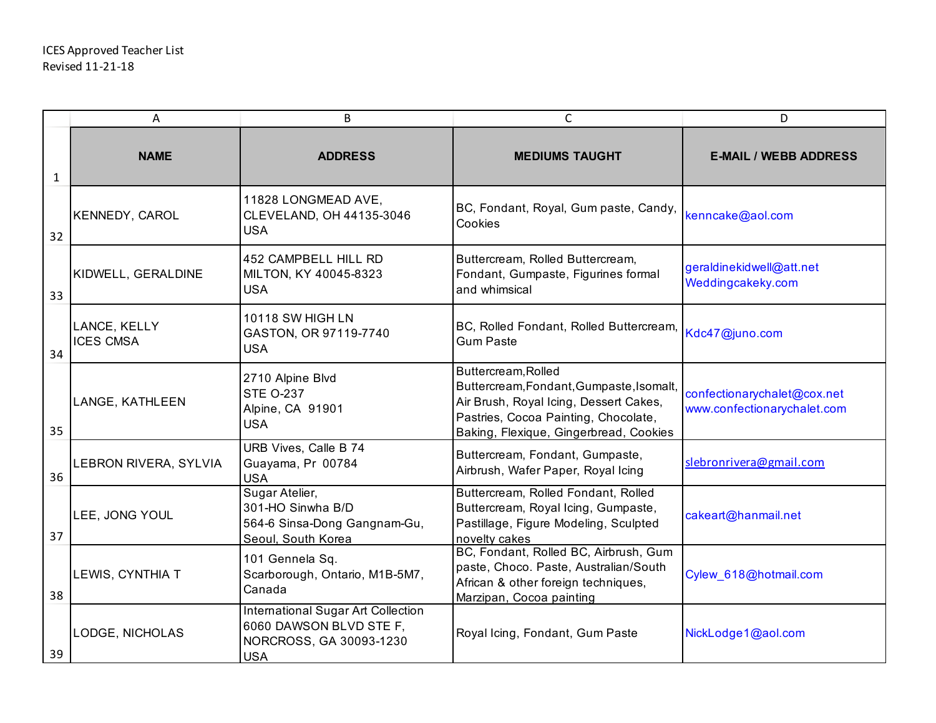|              | A                                | В                                                                                                             | C                                                                                                                                                                                           | D                                                          |
|--------------|----------------------------------|---------------------------------------------------------------------------------------------------------------|---------------------------------------------------------------------------------------------------------------------------------------------------------------------------------------------|------------------------------------------------------------|
| $\mathbf{1}$ | <b>NAME</b>                      | <b>ADDRESS</b>                                                                                                | <b>MEDIUMS TAUGHT</b>                                                                                                                                                                       | <b>E-MAIL / WEBB ADDRESS</b>                               |
| 32           | KENNEDY, CAROL                   | 11828 LONGMEAD AVE,<br>CLEVELAND, OH 44135-3046<br><b>USA</b>                                                 | BC, Fondant, Royal, Gum paste, Candy,<br>Cookies                                                                                                                                            | kenncake@aol.com                                           |
| 33           | KIDWELL, GERALDINE               | 452 CAMPBELL HILL RD<br>MILTON, KY 40045-8323<br><b>USA</b>                                                   | Buttercream, Rolled Buttercream,<br>Fondant, Gumpaste, Figurines formal<br>and whimsical                                                                                                    | geraldinekidwell@att.net<br>Weddingcakeky.com              |
| 34           | LANCE, KELLY<br><b>ICES CMSA</b> | 10118 SW HIGH LN<br>GASTON, OR 97119-7740<br><b>USA</b>                                                       | BC, Rolled Fondant, Rolled Buttercream,<br><b>Gum Paste</b>                                                                                                                                 | Kdc47@juno.com                                             |
| 35           | LANGE, KATHLEEN                  | 2710 Alpine Blvd<br><b>STE O-237</b><br>Alpine, CA 91901<br><b>USA</b>                                        | Buttercream, Rolled<br>Buttercream, Fondant, Gumpaste, Isomalt,<br>Air Brush, Royal Icing, Dessert Cakes,<br>Pastries, Cocoa Painting, Chocolate,<br>Baking, Flexique, Gingerbread, Cookies | confectionarychalet@cox.net<br>www.confectionarychalet.com |
| 36           | LEBRON RIVERA, SYLVIA            | URB Vives, Calle B 74<br>Guayama, Pr 00784<br><b>USA</b>                                                      | Buttercream, Fondant, Gumpaste,<br>Airbrush, Wafer Paper, Royal Icing                                                                                                                       | slebronrivera@gmail.com                                    |
| 37           | LEE, JONG YOUL                   | Sugar Atelier,<br>301-HO Sinwha B/D<br>564-6 Sinsa-Dong Gangnam-Gu,<br>Seoul, South Korea                     | Buttercream, Rolled Fondant, Rolled<br>Buttercream, Royal Icing, Gumpaste,<br>Pastillage, Figure Modeling, Sculpted<br>novelty cakes                                                        | cakeart@hanmail.net                                        |
| 38           | LEWIS, CYNTHIA T                 | 101 Gennela Sq.<br>Scarborough, Ontario, M1B-5M7,<br>Canada                                                   | BC, Fondant, Rolled BC, Airbrush, Gum<br>paste, Choco. Paste, Australian/South<br>African & other foreign techniques,<br>Marzipan, Cocoa painting                                           | Cylew_618@hotmail.com                                      |
| 39           | LODGE, NICHOLAS                  | <b>International Sugar Art Collection</b><br>6060 DAWSON BLVD STE F,<br>NORCROSS, GA 30093-1230<br><b>USA</b> | Royal Icing, Fondant, Gum Paste                                                                                                                                                             | NickLodge1@aol.com                                         |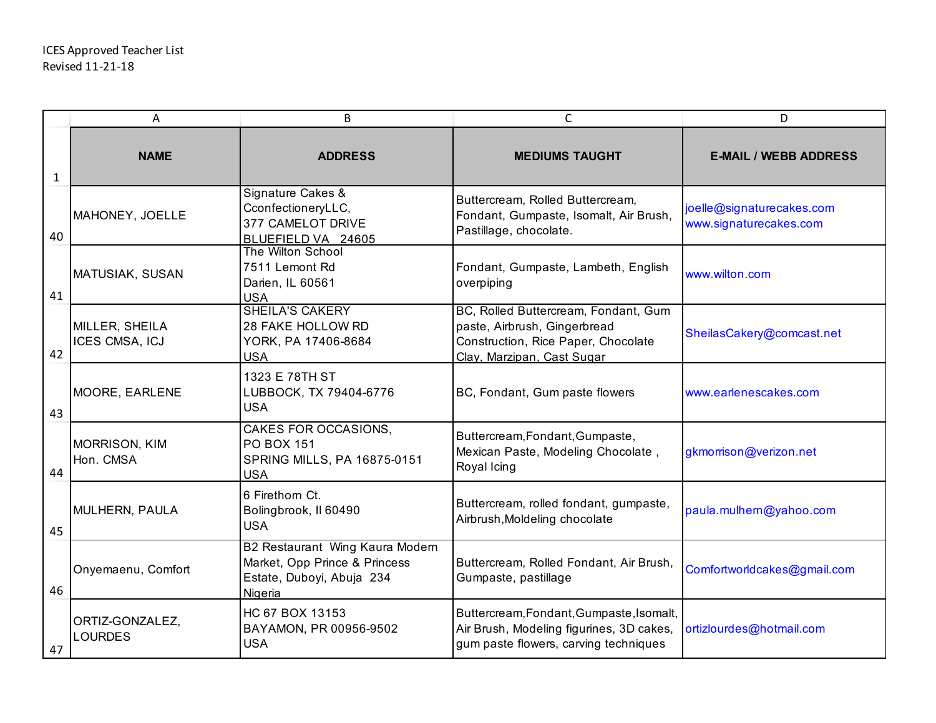|              | Α                                 | B                                                                                                        | C                                                                                                                                         | D                                                   |
|--------------|-----------------------------------|----------------------------------------------------------------------------------------------------------|-------------------------------------------------------------------------------------------------------------------------------------------|-----------------------------------------------------|
| $\mathbf{1}$ | <b>NAME</b>                       | <b>ADDRESS</b>                                                                                           | <b>MEDIUMS TAUGHT</b>                                                                                                                     | <b>E-MAIL / WEBB ADDRESS</b>                        |
| 40           | MAHONEY, JOELLE                   | Signature Cakes &<br>CconfectioneryLLC,<br>377 CAMELOT DRIVE<br>BLUEFIELD VA 24605                       | Buttercream, Rolled Buttercream,<br>Fondant, Gumpaste, Isomalt, Air Brush,<br>Pastillage, chocolate.                                      | joelle@signaturecakes.com<br>www.signaturecakes.com |
| 41           | MATUSIAK, SUSAN                   | The Wilton School<br>7511 Lemont Rd<br>Darien, IL 60561<br><b>USA</b>                                    | Fondant, Gumpaste, Lambeth, English<br>overpiping                                                                                         | www.wilton.com                                      |
| 42           | MILLER, SHEILA<br>ICES CMSA, ICJ  | <b>SHEILA'S CAKERY</b><br>28 FAKE HOLLOW RD<br>YORK, PA 17406-8684<br><b>USA</b>                         | BC, Rolled Buttercream, Fondant, Gum<br>paste, Airbrush, Gingerbread<br>Construction, Rice Paper, Chocolate<br>Clay, Marzipan, Cast Sugar | SheilasCakery@comcast.net                           |
| 43           | MOORE, EARLENE                    | 1323 E 78TH ST<br>LUBBOCK, TX 79404-6776<br><b>USA</b>                                                   | BC, Fondant, Gum paste flowers                                                                                                            | www.earlenescakes.com                               |
| 44           | <b>MORRISON, KIM</b><br>Hon. CMSA | <b>CAKES FOR OCCASIONS,</b><br><b>PO BOX 151</b><br>SPRING MILLS, PA 16875-0151<br><b>USA</b>            | Buttercream, Fondant, Gumpaste,<br>Mexican Paste, Modeling Chocolate,<br>Royal Icing                                                      | gkmorrison@verizon.net                              |
| 45           | MULHERN, PAULA                    | 6 Firethorn Ct.<br>Bolingbrook, II 60490<br><b>USA</b>                                                   | Buttercream, rolled fondant, gumpaste,<br>Airbrush, Moldeling chocolate                                                                   | paula.mulhern@yahoo.com                             |
| 46           | Onyemaenu, Comfort                | B2 Restaurant Wing Kaura Modern<br>Market, Opp Prince & Princess<br>Estate, Duboyi, Abuja 234<br>Nigeria | Buttercream, Rolled Fondant, Air Brush,<br>Gumpaste, pastillage                                                                           | Comfortworldcakes@gmail.com                         |
| 47           | ORTIZ-GONZALEZ,<br><b>LOURDES</b> | HC 67 BOX 13153<br>BAYAMON, PR 00956-9502<br><b>USA</b>                                                  | Buttercream, Fondant, Gumpaste, Isomalt,<br>Air Brush, Modeling figurines, 3D cakes,<br>gum paste flowers, carving techniques             | ortizlourdes@hotmail.com                            |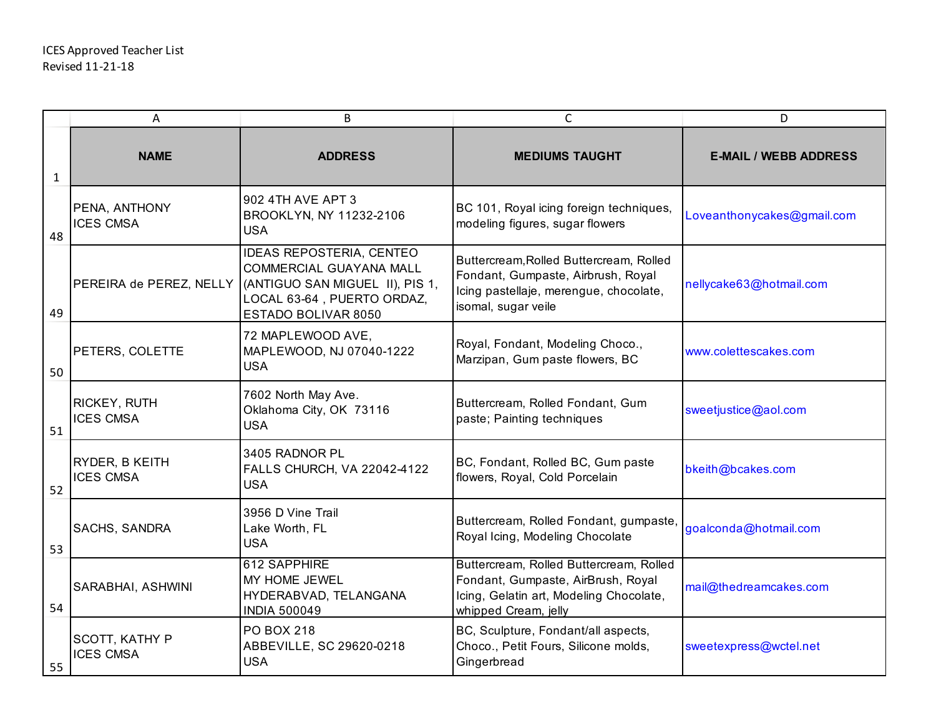|              | Α                                  | B                                                                                                                                           | C                                                                                                                                                | D                            |
|--------------|------------------------------------|---------------------------------------------------------------------------------------------------------------------------------------------|--------------------------------------------------------------------------------------------------------------------------------------------------|------------------------------|
| $\mathbf{1}$ | <b>NAME</b>                        | <b>ADDRESS</b>                                                                                                                              | <b>MEDIUMS TAUGHT</b>                                                                                                                            | <b>E-MAIL / WEBB ADDRESS</b> |
| 48           | PENA, ANTHONY<br><b>ICES CMSA</b>  | 902 4TH AVE APT 3<br>BROOKLYN, NY 11232-2106<br><b>USA</b>                                                                                  | BC 101, Royal icing foreign techniques,<br>modeling figures, sugar flowers                                                                       | Loveanthonycakes@gmail.com   |
| 49           | PEREIRA de PEREZ, NELLY            | IDEAS REPOSTERIA, CENTEO<br>COMMERCIAL GUAYANA MALL<br>(ANTIGUO SAN MIGUEL II), PIS 1,<br>LOCAL 63-64, PUERTO ORDAZ,<br>ESTADO BOLIVAR 8050 | Buttercream, Rolled Buttercream, Rolled<br>Fondant, Gumpaste, Airbrush, Royal<br>Icing pastellaje, merengue, chocolate,<br>isomal, sugar veile   | nellycake63@hotmail.com      |
| 50           | PETERS, COLETTE                    | 72 MAPLEWOOD AVE,<br>MAPLEWOOD, NJ 07040-1222<br><b>USA</b>                                                                                 | Royal, Fondant, Modeling Choco.,<br>Marzipan, Gum paste flowers, BC                                                                              | www.colettescakes.com        |
| 51           | RICKEY, RUTH<br><b>ICES CMSA</b>   | 7602 North May Ave.<br>Oklahoma City, OK 73116<br><b>USA</b>                                                                                | Buttercream, Rolled Fondant, Gum<br>paste; Painting techniques                                                                                   | sweetjustice@aol.com         |
| 52           | RYDER, B KEITH<br><b>ICES CMSA</b> | 3405 RADNOR PL<br>FALLS CHURCH, VA 22042-4122<br><b>USA</b>                                                                                 | BC, Fondant, Rolled BC, Gum paste<br>flowers, Royal, Cold Porcelain                                                                              | bkeith@bcakes.com            |
| 53           | SACHS, SANDRA                      | 3956 D Vine Trail<br>Lake Worth, FL<br><b>USA</b>                                                                                           | Buttercream, Rolled Fondant, gumpaste,<br>Royal Icing, Modeling Chocolate                                                                        | goalconda@hotmail.com        |
| 54           | SARABHAI, ASHWINI                  | 612 SAPPHIRE<br>MY HOME JEWEL<br>HYDERABVAD, TELANGANA<br><b>INDIA 500049</b>                                                               | Buttercream, Rolled Buttercream, Rolled<br>Fondant, Gumpaste, AirBrush, Royal<br>Icing, Gelatin art, Modeling Chocolate,<br>whipped Cream, jelly | mail@thedreamcakes.com       |
| 55           | SCOTT, KATHY P<br><b>ICES CMSA</b> | <b>PO BOX 218</b><br>ABBEVILLE, SC 29620-0218<br><b>USA</b>                                                                                 | BC, Sculpture, Fondant/all aspects,<br>Choco., Petit Fours, Silicone molds,<br>Gingerbread                                                       | sweetexpress@wctel.net       |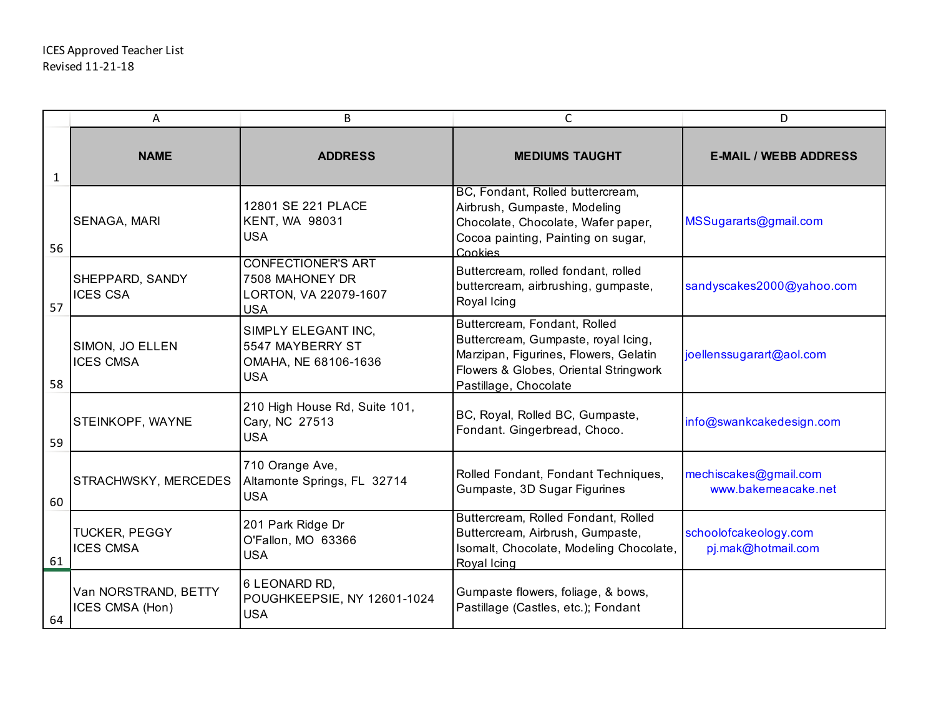|              | Α                                        | B                                                                                   | $\mathsf{C}$                                                                                                                                                                   | D                                            |
|--------------|------------------------------------------|-------------------------------------------------------------------------------------|--------------------------------------------------------------------------------------------------------------------------------------------------------------------------------|----------------------------------------------|
| $\mathbf{1}$ | <b>NAME</b>                              | <b>ADDRESS</b>                                                                      | <b>MEDIUMS TAUGHT</b>                                                                                                                                                          | <b>E-MAIL / WEBB ADDRESS</b>                 |
| 56           | SENAGA, MARI                             | 12801 SE 221 PLACE<br><b>KENT, WA 98031</b><br><b>USA</b>                           | BC, Fondant, Rolled buttercream,<br>Airbrush, Gumpaste, Modeling<br>Chocolate, Chocolate, Wafer paper,<br>Cocoa painting, Painting on sugar,<br>Cookies                        | MSSugararts@gmail.com                        |
| 57           | SHEPPARD, SANDY<br><b>ICES CSA</b>       | <b>CONFECTIONER'S ART</b><br>7508 MAHONEY DR<br>LORTON, VA 22079-1607<br><b>USA</b> | Buttercream, rolled fondant, rolled<br>buttercream, airbrushing, gumpaste,<br>Royal Icing                                                                                      | sandyscakes2000@yahoo.com                    |
| 58           | SIMON, JO ELLEN<br><b>ICES CMSA</b>      | SIMPLY ELEGANT INC,<br>5547 MAYBERRY ST<br>OMAHA, NE 68106-1636<br><b>USA</b>       | Buttercream, Fondant, Rolled<br>Buttercream, Gumpaste, royal Icing,<br>Marzipan, Figurines, Flowers, Gelatin<br>Flowers & Globes, Oriental Stringwork<br>Pastillage, Chocolate | joellenssugarart@aol.com                     |
| 59           | STEINKOPF, WAYNE                         | 210 High House Rd, Suite 101,<br>Cary, NC 27513<br><b>USA</b>                       | BC, Royal, Rolled BC, Gumpaste,<br>Fondant. Gingerbread, Choco.                                                                                                                | info@swankcakedesign.com                     |
| 60           | STRACHWSKY, MERCEDES                     | 710 Orange Ave,<br>Altamonte Springs, FL 32714<br><b>USA</b>                        | Rolled Fondant, Fondant Techniques,<br>Gumpaste, 3D Sugar Figurines                                                                                                            | mechiscakes@gmail.com<br>www.bakemeacake.net |
| 61           | <b>TUCKER, PEGGY</b><br><b>ICES CMSA</b> | 201 Park Ridge Dr<br>O'Fallon, MO 63366<br><b>USA</b>                               | Buttercream, Rolled Fondant, Rolled<br>Buttercream, Airbrush, Gumpaste,<br>Isomalt, Chocolate, Modeling Chocolate,<br>Royal Icing                                              | schoolofcakeology.com<br>pj.mak@hotmail.com  |
| 64           | Van NORSTRAND, BETTY<br>ICES CMSA (Hon)  | 6 LEONARD RD,<br>POUGHKEEPSIE, NY 12601-1024<br><b>USA</b>                          | Gumpaste flowers, foliage, & bows,<br>Pastillage (Castles, etc.); Fondant                                                                                                      |                                              |